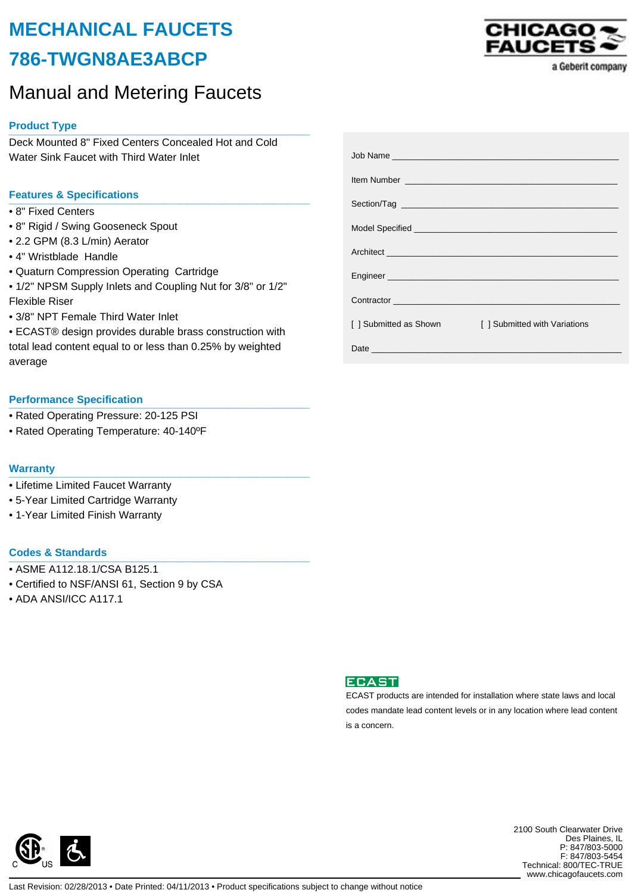# **MECHANICAL FAUCETS 786-TWGN8AE3ABCP**

# Manual and Metering Faucets

# **Product Type \_\_\_\_\_\_\_\_\_\_\_\_\_\_\_\_\_\_\_\_\_\_\_\_\_\_\_\_\_\_\_\_\_\_\_\_\_\_\_\_\_\_\_\_\_\_\_\_\_\_\_**

Deck Mounted 8" Fixed Centers Concealed Hot and Cold Water Sink Faucet with Third Water Inlet

## **Features & Specifications \_\_\_\_\_\_\_\_\_\_\_\_\_\_\_\_\_\_\_\_\_\_\_\_\_\_\_\_\_\_\_\_\_\_\_\_\_\_\_\_\_\_\_\_\_\_\_\_\_\_\_**

- 8" Fixed Centers
- 8" Rigid / Swing Gooseneck Spout
- 2.2 GPM (8.3 L/min) Aerator
- 4" Wristblade Handle
- Quaturn Compression Operating Cartridge
- 1/2" NPSM Supply Inlets and Coupling Nut for 3/8" or 1/2" Flexible Riser
- 3/8" NPT Female Third Water Inlet
- ECAST® design provides durable brass construction with total lead content equal to or less than 0.25% by weighted average

### **Performance Specification**

- Rated Operating Pressure: 20-125 PSI
- Rated Operating Temperature: 40-140ºF

#### **Warranty \_\_\_\_\_\_\_\_\_\_\_\_\_\_\_\_\_\_\_\_\_\_\_\_\_\_\_\_\_\_\_\_\_\_\_\_\_\_\_\_\_\_\_\_\_\_\_\_\_\_\_**

- Lifetime Limited Faucet Warranty
- 5-Year Limited Cartridge Warranty
- 1-Year Limited Finish Warranty

### **Codes & Standards \_\_\_\_\_\_\_\_\_\_\_\_\_\_\_\_\_\_\_\_\_\_\_\_\_\_\_\_\_\_\_\_\_\_\_\_\_\_\_\_\_\_\_\_\_\_\_\_\_\_\_**

- ASME A112.18.1/CSA B125.1
- Certified to NSF/ANSI 61, Section 9 by CSA
- ADA ANSI/ICC A117.1





ECAST products are intended for installation where state laws and local codes mandate lead content levels or in any location where lead content is a concern.